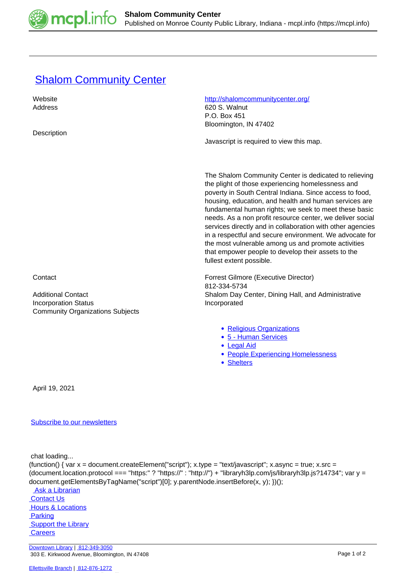

## **[Shalom Community Center](https://mcpl.info/commorg/shalom-community-center)**

| Website                                 | http://shalomcommunitycenter.org/                                                                                                                                                                                                                                                                                                                                                                                                                                                                                                                                                                                      |
|-----------------------------------------|------------------------------------------------------------------------------------------------------------------------------------------------------------------------------------------------------------------------------------------------------------------------------------------------------------------------------------------------------------------------------------------------------------------------------------------------------------------------------------------------------------------------------------------------------------------------------------------------------------------------|
| Address                                 | 620 S. Walnut                                                                                                                                                                                                                                                                                                                                                                                                                                                                                                                                                                                                          |
|                                         | P.O. Box 451                                                                                                                                                                                                                                                                                                                                                                                                                                                                                                                                                                                                           |
|                                         | Bloomington, IN 47402                                                                                                                                                                                                                                                                                                                                                                                                                                                                                                                                                                                                  |
| Description                             |                                                                                                                                                                                                                                                                                                                                                                                                                                                                                                                                                                                                                        |
|                                         | Javascript is required to view this map.                                                                                                                                                                                                                                                                                                                                                                                                                                                                                                                                                                               |
|                                         |                                                                                                                                                                                                                                                                                                                                                                                                                                                                                                                                                                                                                        |
|                                         |                                                                                                                                                                                                                                                                                                                                                                                                                                                                                                                                                                                                                        |
|                                         | The Shalom Community Center is dedicated to relieving<br>the plight of those experiencing homelessness and<br>poverty in South Central Indiana. Since access to food,<br>housing, education, and health and human services are<br>fundamental human rights; we seek to meet these basic<br>needs. As a non profit resource center, we deliver social<br>services directly and in collaboration with other agencies<br>in a respectful and secure environment. We advocate for<br>the most vulnerable among us and promote activities<br>that empower people to develop their assets to the<br>fullest extent possible. |
| Contact                                 | Forrest Gilmore (Executive Director)                                                                                                                                                                                                                                                                                                                                                                                                                                                                                                                                                                                   |
| <b>Additional Contact</b>               | 812-334-5734<br>Shalom Day Center, Dining Hall, and Administrative                                                                                                                                                                                                                                                                                                                                                                                                                                                                                                                                                     |
| <b>Incorporation Status</b>             | Incorporated                                                                                                                                                                                                                                                                                                                                                                                                                                                                                                                                                                                                           |
| <b>Community Organizations Subjects</b> |                                                                                                                                                                                                                                                                                                                                                                                                                                                                                                                                                                                                                        |
|                                         |                                                                                                                                                                                                                                                                                                                                                                                                                                                                                                                                                                                                                        |
|                                         | • Religious Organizations<br>• 5 - Human Services<br>• Legal Aid<br>• People Experiencing Homelessness<br>• Shelters                                                                                                                                                                                                                                                                                                                                                                                                                                                                                                   |
| April 19, 2021                          |                                                                                                                                                                                                                                                                                                                                                                                                                                                                                                                                                                                                                        |

## [Subscribe to our newsletters](https://mcpl.info/geninfo/subscribe-think-library-newsletter)

chat loading...

```
(function() { var x = document.createElement("script"); x.type = "text/javascript"; x.async = true; x.src =
(document.location.protocol === "https:" ? "https://" : "http://") + "libraryh3lp.com/js/libraryh3lp.js?14734"; var y =
document.getElementsByTagName("script")[0]; y.parentNode.insertBefore(x, y); })();
```
 [Ask a Librarian](https://mcpl.info/askus)  [Contact Us](https://mcpl.info/geninfo/contact-us) **Hours & Locations Parking Support the Library Careers** 

[Downtown Library](https://mcpl.info/geninfo/downtown-library) | [812-349-3050](tel:812-349-3050) 303 E. Kirkwood Avenue, Bloomington, IN 47408